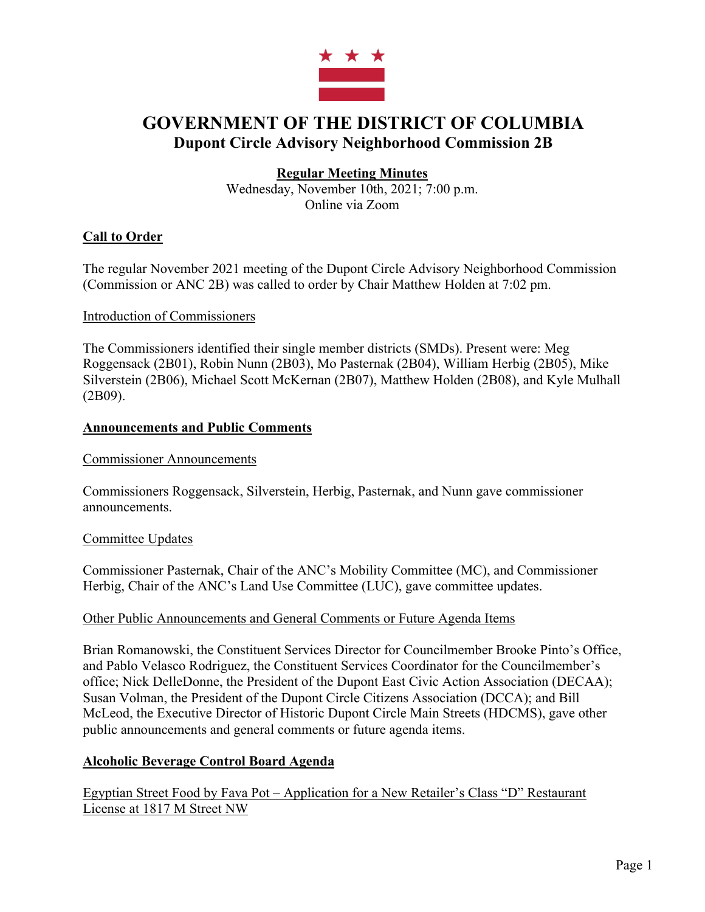

# **GOVERNMENT OF THE DISTRICT OF COLUMBIA Dupont Circle Advisory Neighborhood Commission 2B**

# **Regular Meeting Minutes**

Wednesday, November 10th, 2021; 7:00 p.m. Online via Zoom

# **Call to Order**

The regular November 2021 meeting of the Dupont Circle Advisory Neighborhood Commission (Commission or ANC 2B) was called to order by Chair Matthew Holden at 7:02 pm.

#### Introduction of Commissioners

The Commissioners identified their single member districts (SMDs). Present were: Meg Roggensack (2B01), Robin Nunn (2B03), Mo Pasternak (2B04), William Herbig (2B05), Mike Silverstein (2B06), Michael Scott McKernan (2B07), Matthew Holden (2B08), and Kyle Mulhall (2B09).

# **Announcements and Public Comments**

#### Commissioner Announcements

Commissioners Roggensack, Silverstein, Herbig, Pasternak, and Nunn gave commissioner announcements.

# Committee Updates

Commissioner Pasternak, Chair of the ANC's Mobility Committee (MC), and Commissioner Herbig, Chair of the ANC's Land Use Committee (LUC), gave committee updates.

#### Other Public Announcements and General Comments or Future Agenda Items

Brian Romanowski, the Constituent Services Director for Councilmember Brooke Pinto's Office, and Pablo Velasco Rodriguez, the Constituent Services Coordinator for the Councilmember's office; Nick DelleDonne, the President of the Dupont East Civic Action Association (DECAA); Susan Volman, the President of the Dupont Circle Citizens Association (DCCA); and Bill McLeod, the Executive Director of Historic Dupont Circle Main Streets (HDCMS), gave other public announcements and general comments or future agenda items.

# **Alcoholic Beverage Control Board Agenda**

Egyptian Street Food by Fava Pot – Application for a New Retailer's Class "D" Restaurant License at 1817 M Street NW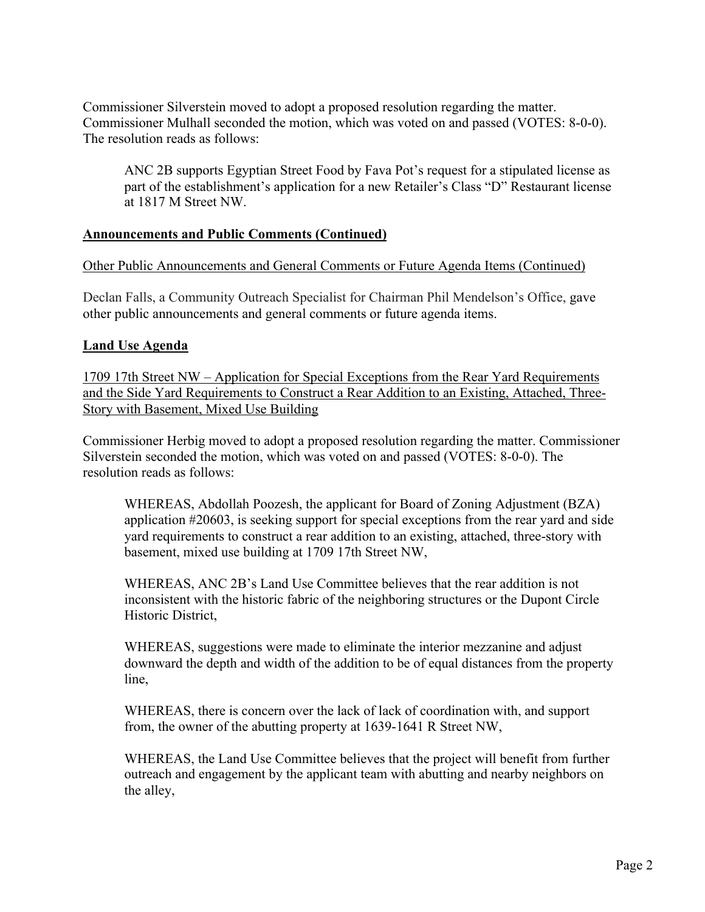Commissioner Silverstein moved to adopt a proposed resolution regarding the matter. Commissioner Mulhall seconded the motion, which was voted on and passed (VOTES: 8-0-0). The resolution reads as follows:

ANC 2B supports Egyptian Street Food by Fava Pot's request for a stipulated license as part of the establishment's application for a new Retailer's Class "D" Restaurant license at 1817 M Street NW.

# **Announcements and Public Comments (Continued)**

#### Other Public Announcements and General Comments or Future Agenda Items (Continued)

Declan Falls, a Community Outreach Specialist for Chairman Phil Mendelson's Office, gave other public announcements and general comments or future agenda items.

#### **Land Use Agenda**

1709 17th Street NW – Application for Special Exceptions from the Rear Yard Requirements and the Side Yard Requirements to Construct a Rear Addition to an Existing, Attached, Three-Story with Basement, Mixed Use Building

Commissioner Herbig moved to adopt a proposed resolution regarding the matter. Commissioner Silverstein seconded the motion, which was voted on and passed (VOTES: 8-0-0). The resolution reads as follows:

WHEREAS, Abdollah Poozesh, the applicant for Board of Zoning Adjustment (BZA) application #20603, is seeking support for special exceptions from the rear yard and side yard requirements to construct a rear addition to an existing, attached, three-story with basement, mixed use building at 1709 17th Street NW,

WHEREAS, ANC 2B's Land Use Committee believes that the rear addition is not inconsistent with the historic fabric of the neighboring structures or the Dupont Circle Historic District,

WHEREAS, suggestions were made to eliminate the interior mezzanine and adjust downward the depth and width of the addition to be of equal distances from the property line,

WHEREAS, there is concern over the lack of lack of coordination with, and support from, the owner of the abutting property at 1639-1641 R Street NW,

WHEREAS, the Land Use Committee believes that the project will benefit from further outreach and engagement by the applicant team with abutting and nearby neighbors on the alley,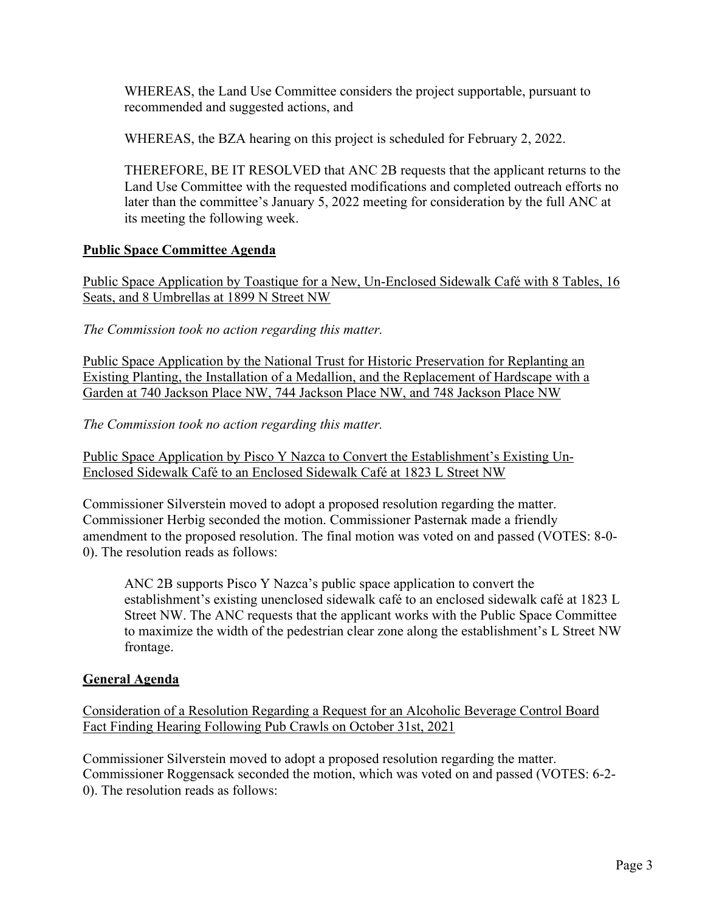WHEREAS, the Land Use Committee considers the project supportable, pursuant to recommended and suggested actions, and

WHEREAS, the BZA hearing on this project is scheduled for February 2, 2022.

THEREFORE, BE IT RESOLVED that ANC 2B requests that the applicant returns to the Land Use Committee with the requested modifications and completed outreach efforts no later than the committee's January 5, 2022 meeting for consideration by the full ANC at its meeting the following week.

# **Public Space Committee Agenda**

Public Space Application by Toastique for a New, Un-Enclosed Sidewalk Café with 8 Tables, 16 Seats, and 8 Umbrellas at 1899 N Street NW

*The Commission took no action regarding this matter.*

Public Space Application by the National Trust for Historic Preservation for Replanting an Existing Planting, the Installation of a Medallion, and the Replacement of Hardscape with a Garden at 740 Jackson Place NW, 744 Jackson Place NW, and 748 Jackson Place NW

*The Commission took no action regarding this matter.*

Public Space Application by Pisco Y Nazca to Convert the Establishment's Existing Un-Enclosed Sidewalk Café to an Enclosed Sidewalk Café at 1823 L Street NW

Commissioner Silverstein moved to adopt a proposed resolution regarding the matter. Commissioner Herbig seconded the motion. Commissioner Pasternak made a friendly amendment to the proposed resolution. The final motion was voted on and passed (VOTES: 8-0- 0). The resolution reads as follows:

ANC 2B supports Pisco Y Nazca's public space application to convert the establishment's existing unenclosed sidewalk café to an enclosed sidewalk café at 1823 L Street NW. The ANC requests that the applicant works with the Public Space Committee to maximize the width of the pedestrian clear zone along the establishment's L Street NW frontage.

# **General Agenda**

Consideration of a Resolution Regarding a Request for an Alcoholic Beverage Control Board Fact Finding Hearing Following Pub Crawls on October 31st, 2021

Commissioner Silverstein moved to adopt a proposed resolution regarding the matter. Commissioner Roggensack seconded the motion, which was voted on and passed (VOTES: 6-2- 0). The resolution reads as follows: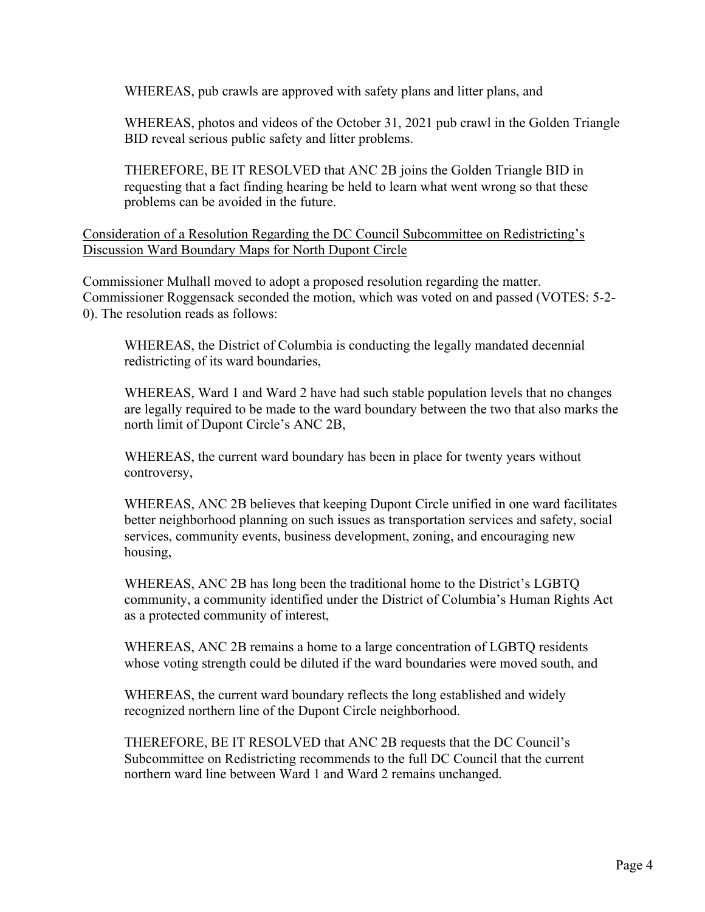WHEREAS, pub crawls are approved with safety plans and litter plans, and

WHEREAS, photos and videos of the October 31, 2021 pub crawl in the Golden Triangle BID reveal serious public safety and litter problems.

THEREFORE, BE IT RESOLVED that ANC 2B joins the Golden Triangle BID in requesting that a fact finding hearing be held to learn what went wrong so that these problems can be avoided in the future.

Consideration of a Resolution Regarding the DC Council Subcommittee on Redistricting's Discussion Ward Boundary Maps for North Dupont Circle

Commissioner Mulhall moved to adopt a proposed resolution regarding the matter. Commissioner Roggensack seconded the motion, which was voted on and passed (VOTES: 5-2- 0). The resolution reads as follows:

WHEREAS, the District of Columbia is conducting the legally mandated decennial redistricting of its ward boundaries,

WHEREAS, Ward 1 and Ward 2 have had such stable population levels that no changes are legally required to be made to the ward boundary between the two that also marks the north limit of Dupont Circle's ANC 2B,

WHEREAS, the current ward boundary has been in place for twenty years without controversy,

WHEREAS, ANC 2B believes that keeping Dupont Circle unified in one ward facilitates better neighborhood planning on such issues as transportation services and safety, social services, community events, business development, zoning, and encouraging new housing,

WHEREAS, ANC 2B has long been the traditional home to the District's LGBTQ community, a community identified under the District of Columbia's Human Rights Act as a protected community of interest,

WHEREAS, ANC 2B remains a home to a large concentration of LGBTQ residents whose voting strength could be diluted if the ward boundaries were moved south, and

WHEREAS, the current ward boundary reflects the long established and widely recognized northern line of the Dupont Circle neighborhood.

THEREFORE, BE IT RESOLVED that ANC 2B requests that the DC Council's Subcommittee on Redistricting recommends to the full DC Council that the current northern ward line between Ward 1 and Ward 2 remains unchanged.